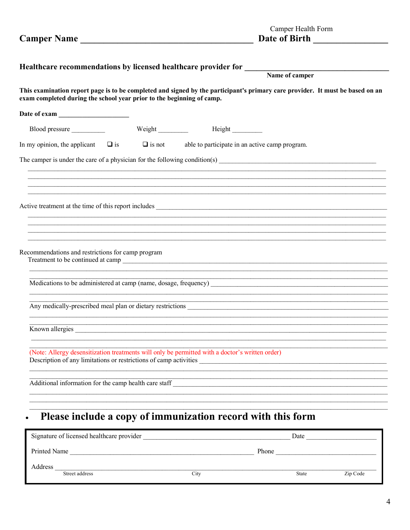|                                                                                                                                                                                                        | Healthcare recommendations by licensed healthcare provider for<br>Name of camper |                                                |  |  |  |  |
|--------------------------------------------------------------------------------------------------------------------------------------------------------------------------------------------------------|----------------------------------------------------------------------------------|------------------------------------------------|--|--|--|--|
| This examination report page is to be completed and signed by the participant's primary care provider. It must be based on an<br>exam completed during the school year prior to the beginning of camp. |                                                                                  |                                                |  |  |  |  |
|                                                                                                                                                                                                        |                                                                                  |                                                |  |  |  |  |
| Blood pressure                                                                                                                                                                                         | Weight $\frac{1}{\sqrt{1-\frac{1}{2}}\cdot\frac{1}{\sqrt{1-\frac{1}{2}}}}$       |                                                |  |  |  |  |
| In my opinion, the applicant $\Box$ is                                                                                                                                                                 | $\Box$ is not                                                                    | able to participate in an active camp program. |  |  |  |  |
|                                                                                                                                                                                                        |                                                                                  |                                                |  |  |  |  |
|                                                                                                                                                                                                        |                                                                                  |                                                |  |  |  |  |
|                                                                                                                                                                                                        |                                                                                  |                                                |  |  |  |  |
|                                                                                                                                                                                                        |                                                                                  |                                                |  |  |  |  |
|                                                                                                                                                                                                        |                                                                                  |                                                |  |  |  |  |
|                                                                                                                                                                                                        |                                                                                  |                                                |  |  |  |  |
| Recommendations and restrictions for camp program                                                                                                                                                      |                                                                                  |                                                |  |  |  |  |
|                                                                                                                                                                                                        |                                                                                  |                                                |  |  |  |  |
|                                                                                                                                                                                                        |                                                                                  |                                                |  |  |  |  |
|                                                                                                                                                                                                        |                                                                                  |                                                |  |  |  |  |
|                                                                                                                                                                                                        |                                                                                  |                                                |  |  |  |  |
| Known allergies                                                                                                                                                                                        |                                                                                  |                                                |  |  |  |  |
| (Note: Allergy desensitization treatments will only be permitted with a doctor's written order)<br>Description of any limitations or restrictions of camp activities                                   |                                                                                  |                                                |  |  |  |  |
|                                                                                                                                                                                                        |                                                                                  |                                                |  |  |  |  |
| Additional information for the camp health care staff                                                                                                                                                  |                                                                                  |                                                |  |  |  |  |
|                                                                                                                                                                                                        |                                                                                  |                                                |  |  |  |  |
| Please include a copy of immunization record with this form                                                                                                                                            |                                                                                  |                                                |  |  |  |  |

| Signature of licensed healthcare provider |      | Date         |          |
|-------------------------------------------|------|--------------|----------|
| Printed Name                              |      | Phone        |          |
| Address<br>Street address                 | City | <b>State</b> | Zip Code |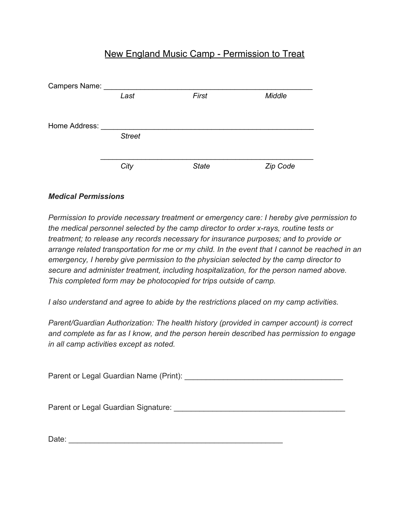## New England Music Camp - Permission to Treat

| Campers Name: |               |              |          |
|---------------|---------------|--------------|----------|
|               | Last          | First        | Middle   |
| Home Address: |               |              |          |
|               | <b>Street</b> |              |          |
|               |               |              |          |
|               | City          | <b>State</b> | Zip Code |

## *Medical Permissions*

*Permission to provide necessary treatment or emergency care: I hereby give permission to the medical personnel selected by the camp director to order x-rays, routine tests or treatment; to release any records necessary for insurance purposes; and to provide or arrange related transportation for me or my child. In the event that I cannot be reached in an emergency, I hereby give permission to the physician selected by the camp director to secure and administer treatment, including hospitalization, for the person named above. This completed form may be photocopied for trips outside of camp.*

*I also understand and agree to abide by the restrictions placed on my camp activities.*

*Parent/Guardian Authorization: The health history (provided in camper account) is correct and complete as far as I know, and the person herein described has permission to engage in all camp activities except as noted.*

Parent or Legal Guardian Name (Print): \_\_\_\_\_\_\_\_\_\_\_\_\_\_\_\_\_\_\_\_\_\_\_\_\_\_\_\_\_\_\_\_\_\_\_\_\_

Parent or Legal Guardian Signature: \_\_\_\_\_\_\_\_\_\_\_\_\_\_\_\_\_\_\_\_\_\_\_\_\_\_\_\_\_\_\_\_\_\_\_\_\_\_\_\_

Date: \_\_\_\_\_\_\_\_\_\_\_\_\_\_\_\_\_\_\_\_\_\_\_\_\_\_\_\_\_\_\_\_\_\_\_\_\_\_\_\_\_\_\_\_\_\_\_\_\_\_